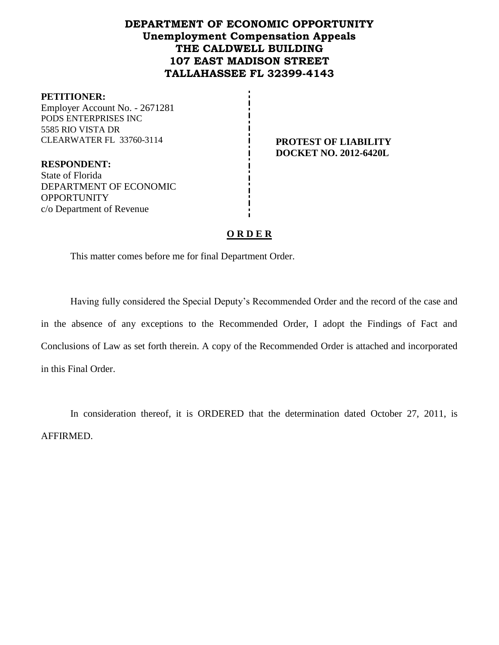# **DEPARTMENT OF ECONOMIC OPPORTUNITY Unemployment Compensation Appeals THE CALDWELL BUILDING 107 EAST MADISON STREET TALLAHASSEE FL 32399-4143**

#### **PETITIONER:**

Employer Account No. - 2671281 PODS ENTERPRISES INC 5585 RIO VISTA DR CLEARWATER FL 33760-3114 **PROTEST OF LIABILITY**

**DOCKET NO. 2012-6420L**

**RESPONDENT:** State of Florida DEPARTMENT OF ECONOMIC **OPPORTUNITY** c/o Department of Revenue

## **O R D E R**

This matter comes before me for final Department Order.

Having fully considered the Special Deputy's Recommended Order and the record of the case and in the absence of any exceptions to the Recommended Order, I adopt the Findings of Fact and Conclusions of Law as set forth therein. A copy of the Recommended Order is attached and incorporated in this Final Order.

In consideration thereof, it is ORDERED that the determination dated October 27, 2011, is AFFIRMED.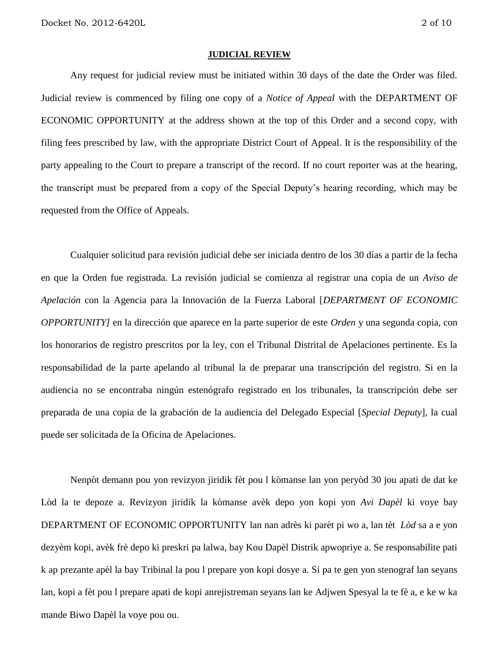#### **JUDICIAL REVIEW**

Any request for judicial review must be initiated within 30 days of the date the Order was filed. Judicial review is commenced by filing one copy of a *Notice of Appeal* with the DEPARTMENT OF ECONOMIC OPPORTUNITY at the address shown at the top of this Order and a second copy, with filing fees prescribed by law, with the appropriate District Court of Appeal. It is the responsibility of the party appealing to the Court to prepare a transcript of the record. If no court reporter was at the hearing, the transcript must be prepared from a copy of the Special Deputy's hearing recording, which may be requested from the Office of Appeals.

Cualquier solicitud para revisión judicial debe ser iniciada dentro de los 30 días a partir de la fecha en que la Orden fue registrada. La revisión judicial se comienza al registrar una copia de un *Aviso de Apelación* con la Agencia para la Innovación de la Fuerza Laboral [*DEPARTMENT OF ECONOMIC OPPORTUNITY]* en la dirección que aparece en la parte superior de este *Orden* y una segunda copia, con los honorarios de registro prescritos por la ley, con el Tribunal Distrital de Apelaciones pertinente. Es la responsabilidad de la parte apelando al tribunal la de preparar una transcripción del registro. Si en la audiencia no se encontraba ningún estenógrafo registrado en los tribunales, la transcripción debe ser preparada de una copia de la grabación de la audiencia del Delegado Especial [*Special Deputy*], la cual puede ser solicitada de la Oficina de Apelaciones.

Nenpòt demann pou yon revizyon jiridik fèt pou l kòmanse lan yon peryòd 30 jou apati de dat ke Lòd la te depoze a. Revizyon jiridik la kòmanse avèk depo yon kopi yon *Avi Dapèl* ki voye bay DEPARTMENT OF ECONOMIC OPPORTUNITY lan nan adrès ki parèt pi wo a, lan tèt *Lòd* sa a e yon dezyèm kopi, avèk frè depo ki preskri pa lalwa, bay Kou Dapèl Distrik apwopriye a. Se responsabilite pati k ap prezante apèl la bay Tribinal la pou l prepare yon kopi dosye a. Si pa te gen yon stenograf lan seyans lan, kopi a fèt pou l prepare apati de kopi anrejistreman seyans lan ke Adjwen Spesyal la te fè a, e ke w ka mande Biwo Dapèl la voye pou ou.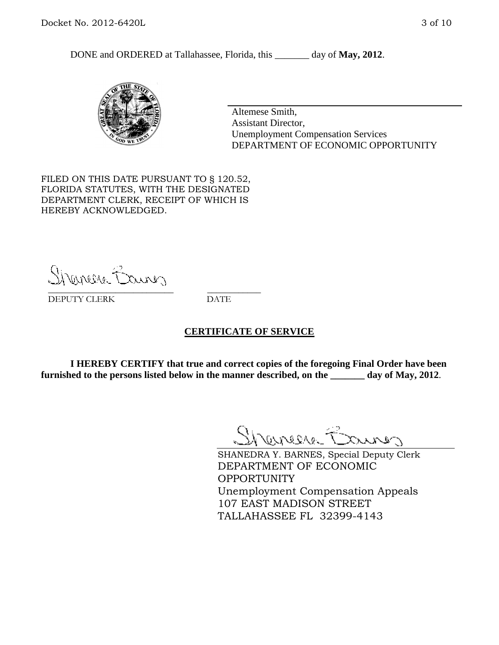DONE and ORDERED at Tallahassee, Florida, this day of May, 2012.



Altemese Smith, Assistant Director, Unemployment Compensation Services DEPARTMENT OF ECONOMIC OPPORTUNITY

FILED ON THIS DATE PURSUANT TO § 120.52, FLORIDA STATUTES, WITH THE DESIGNATED DEPARTMENT CLERK, RECEIPT OF WHICH IS HEREBY ACKNOWLEDGED.

Shenesse Baner \_\_\_\_\_\_\_\_\_\_\_\_\_\_\_\_\_\_\_\_\_\_\_\_\_\_\_\_ \_\_\_\_\_\_\_\_\_\_\_\_

DEPUTY CLERK DATE

### **CERTIFICATE OF SERVICE**

**I HEREBY CERTIFY that true and correct copies of the foregoing Final Order have been furnished to the persons listed below in the manner described, on the \_\_\_\_\_\_\_ day of May, 2012**.

Shaner Barnes

SHANEDRA Y. BARNES, Special Deputy Clerk DEPARTMENT OF ECONOMIC OPPORTUNITY Unemployment Compensation Appeals 107 EAST MADISON STREET TALLAHASSEE FL 32399-4143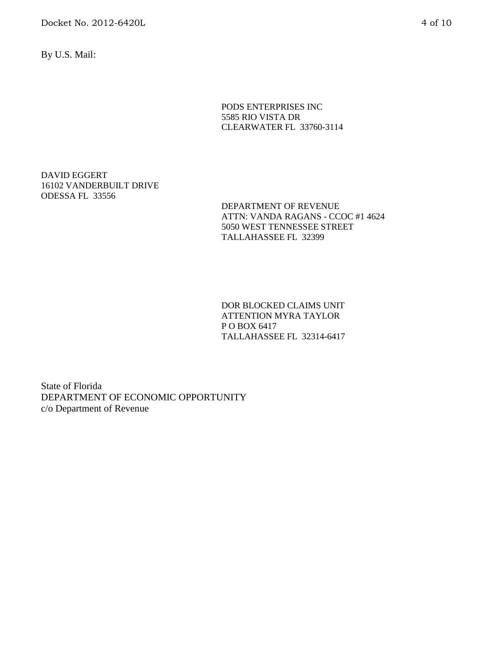Docket No. 2012-6420L 4 of 10

By U.S. Mail:

PODS ENTERPRISES INC 5585 RIO VISTA DR CLEARWATER FL 33760-3114

DAVID EGGERT 16102 VANDERBUILT DRIVE ODESSA FL 33556

> DEPARTMENT OF REVENUE ATTN: VANDA RAGANS - CCOC #1 4624 5050 WEST TENNESSEE STREET TALLAHASSEE FL 32399

DOR BLOCKED CLAIMS UNIT ATTENTION MYRA TAYLOR P O BOX 6417 TALLAHASSEE FL 32314-6417

State of Florida DEPARTMENT OF ECONOMIC OPPORTUNITY c/o Department of Revenue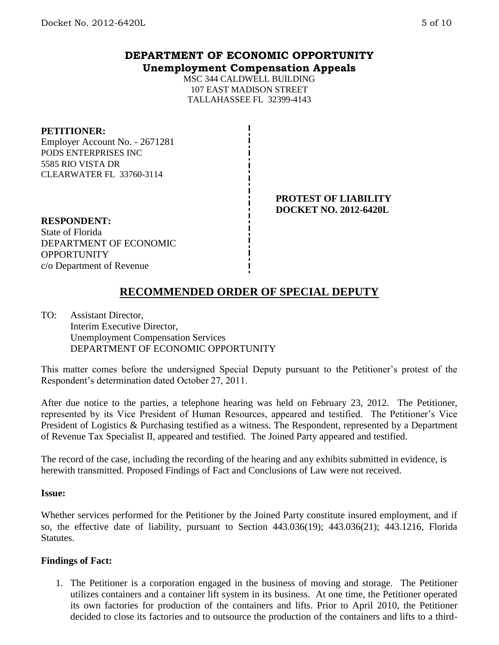# **DEPARTMENT OF ECONOMIC OPPORTUNITY Unemployment Compensation Appeals**

MSC 344 CALDWELL BUILDING 107 EAST MADISON STREET TALLAHASSEE FL 32399-4143

#### **PETITIONER:**

Employer Account No. - 2671281 PODS ENTERPRISES INC 5585 RIO VISTA DR CLEARWATER FL 33760-3114

## **PROTEST OF LIABILITY DOCKET NO. 2012-6420L**

**RESPONDENT:** State of Florida DEPARTMENT OF ECONOMIC **OPPORTUNITY** c/o Department of Revenue

# **RECOMMENDED ORDER OF SPECIAL DEPUTY**

TO: Assistant Director, Interim Executive Director, Unemployment Compensation Services DEPARTMENT OF ECONOMIC OPPORTUNITY

This matter comes before the undersigned Special Deputy pursuant to the Petitioner's protest of the Respondent's determination dated October 27, 2011.

After due notice to the parties, a telephone hearing was held on February 23, 2012. The Petitioner, represented by its Vice President of Human Resources, appeared and testified. The Petitioner's Vice President of Logistics & Purchasing testified as a witness. The Respondent, represented by a Department of Revenue Tax Specialist II, appeared and testified. The Joined Party appeared and testified.

The record of the case, including the recording of the hearing and any exhibits submitted in evidence, is herewith transmitted. Proposed Findings of Fact and Conclusions of Law were not received.

### **Issue:**

Whether services performed for the Petitioner by the Joined Party constitute insured employment, and if so, the effective date of liability, pursuant to Section 443.036(19); 443.036(21); 443.1216, Florida Statutes.

### **Findings of Fact:**

1. The Petitioner is a corporation engaged in the business of moving and storage. The Petitioner utilizes containers and a container lift system in its business. At one time, the Petitioner operated its own factories for production of the containers and lifts. Prior to April 2010, the Petitioner decided to close its factories and to outsource the production of the containers and lifts to a third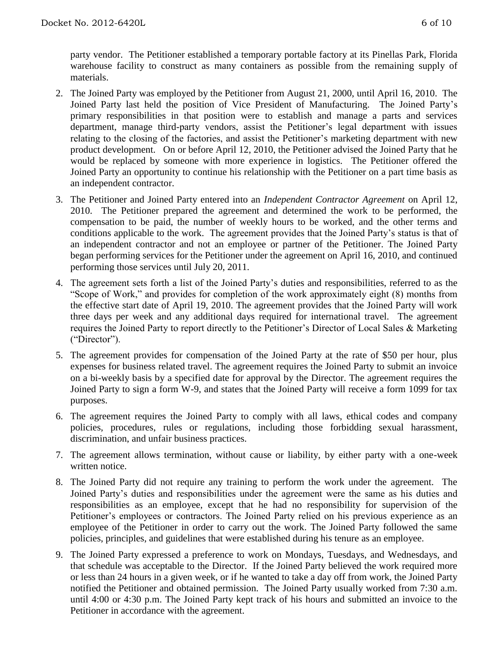party vendor. The Petitioner established a temporary portable factory at its Pinellas Park, Florida warehouse facility to construct as many containers as possible from the remaining supply of materials.

- 2. The Joined Party was employed by the Petitioner from August 21, 2000, until April 16, 2010. The Joined Party last held the position of Vice President of Manufacturing. The Joined Party's primary responsibilities in that position were to establish and manage a parts and services department, manage third-party vendors, assist the Petitioner's legal department with issues relating to the closing of the factories, and assist the Petitioner's marketing department with new product development. On or before April 12, 2010, the Petitioner advised the Joined Party that he would be replaced by someone with more experience in logistics. The Petitioner offered the Joined Party an opportunity to continue his relationship with the Petitioner on a part time basis as an independent contractor.
- 3. The Petitioner and Joined Party entered into an *Independent Contractor Agreement* on April 12, 2010. The Petitioner prepared the agreement and determined the work to be performed, the compensation to be paid, the number of weekly hours to be worked, and the other terms and conditions applicable to the work. The agreement provides that the Joined Party's status is that of an independent contractor and not an employee or partner of the Petitioner. The Joined Party began performing services for the Petitioner under the agreement on April 16, 2010, and continued performing those services until July 20, 2011.
- 4. The agreement sets forth a list of the Joined Party's duties and responsibilities, referred to as the "Scope of Work," and provides for completion of the work approximately eight (8) months from the effective start date of April 19, 2010. The agreement provides that the Joined Party will work three days per week and any additional days required for international travel. The agreement requires the Joined Party to report directly to the Petitioner's Director of Local Sales & Marketing ("Director").
- 5. The agreement provides for compensation of the Joined Party at the rate of \$50 per hour, plus expenses for business related travel. The agreement requires the Joined Party to submit an invoice on a bi-weekly basis by a specified date for approval by the Director. The agreement requires the Joined Party to sign a form W-9, and states that the Joined Party will receive a form 1099 for tax purposes.
- 6. The agreement requires the Joined Party to comply with all laws, ethical codes and company policies, procedures, rules or regulations, including those forbidding sexual harassment, discrimination, and unfair business practices.
- 7. The agreement allows termination, without cause or liability, by either party with a one-week written notice.
- 8. The Joined Party did not require any training to perform the work under the agreement. The Joined Party's duties and responsibilities under the agreement were the same as his duties and responsibilities as an employee, except that he had no responsibility for supervision of the Petitioner's employees or contractors. The Joined Party relied on his previous experience as an employee of the Petitioner in order to carry out the work. The Joined Party followed the same policies, principles, and guidelines that were established during his tenure as an employee.
- 9. The Joined Party expressed a preference to work on Mondays, Tuesdays, and Wednesdays, and that schedule was acceptable to the Director. If the Joined Party believed the work required more or less than 24 hours in a given week, or if he wanted to take a day off from work, the Joined Party notified the Petitioner and obtained permission. The Joined Party usually worked from 7:30 a.m. until 4:00 or 4:30 p.m. The Joined Party kept track of his hours and submitted an invoice to the Petitioner in accordance with the agreement.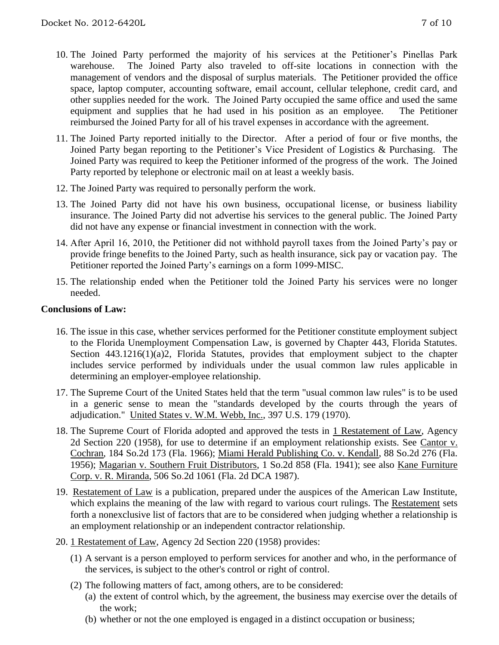- 10. The Joined Party performed the majority of his services at the Petitioner's Pinellas Park warehouse. The Joined Party also traveled to off-site locations in connection with the management of vendors and the disposal of surplus materials. The Petitioner provided the office space, laptop computer, accounting software, email account, cellular telephone, credit card, and other supplies needed for the work. The Joined Party occupied the same office and used the same equipment and supplies that he had used in his position as an employee. The Petitioner reimbursed the Joined Party for all of his travel expenses in accordance with the agreement.
- 11. The Joined Party reported initially to the Director. After a period of four or five months, the Joined Party began reporting to the Petitioner's Vice President of Logistics & Purchasing. The Joined Party was required to keep the Petitioner informed of the progress of the work. The Joined Party reported by telephone or electronic mail on at least a weekly basis.
- 12. The Joined Party was required to personally perform the work.
- 13. The Joined Party did not have his own business, occupational license, or business liability insurance. The Joined Party did not advertise his services to the general public. The Joined Party did not have any expense or financial investment in connection with the work.
- 14. After April 16, 2010, the Petitioner did not withhold payroll taxes from the Joined Party's pay or provide fringe benefits to the Joined Party, such as health insurance, sick pay or vacation pay. The Petitioner reported the Joined Party's earnings on a form 1099-MISC.
- 15. The relationship ended when the Petitioner told the Joined Party his services were no longer needed.

### **Conclusions of Law:**

- 16. The issue in this case, whether services performed for the Petitioner constitute employment subject to the Florida Unemployment Compensation Law, is governed by Chapter 443, Florida Statutes. Section 443.1216(1)(a)2, Florida Statutes, provides that employment subject to the chapter includes service performed by individuals under the usual common law rules applicable in determining an employer-employee relationship.
- 17. The Supreme Court of the United States held that the term "usual common law rules" is to be used in a generic sense to mean the "standards developed by the courts through the years of adjudication." United States v. W.M. Webb, Inc., 397 U.S. 179 (1970).
- 18. The Supreme Court of Florida adopted and approved the tests in 1 Restatement of Law, Agency 2d Section 220 (1958), for use to determine if an employment relationship exists. See Cantor v. Cochran, 184 So.2d 173 (Fla. 1966); Miami Herald Publishing Co. v. Kendall, 88 So.2d 276 (Fla. 1956); Magarian v. Southern Fruit Distributors, 1 So.2d 858 (Fla. 1941); see also Kane Furniture Corp. v. R. Miranda, 506 So.2d 1061 (Fla. 2d DCA 1987).
- 19. Restatement of Law is a publication, prepared under the auspices of the American Law Institute, which explains the meaning of the law with regard to various court rulings. The Restatement sets forth a nonexclusive list of factors that are to be considered when judging whether a relationship is an employment relationship or an independent contractor relationship.
- 20. 1 Restatement of Law, Agency 2d Section 220 (1958) provides:
	- (1) A servant is a person employed to perform services for another and who, in the performance of the services, is subject to the other's control or right of control.
	- (2) The following matters of fact, among others, are to be considered:
		- (a) the extent of control which, by the agreement, the business may exercise over the details of the work;
		- (b) whether or not the one employed is engaged in a distinct occupation or business;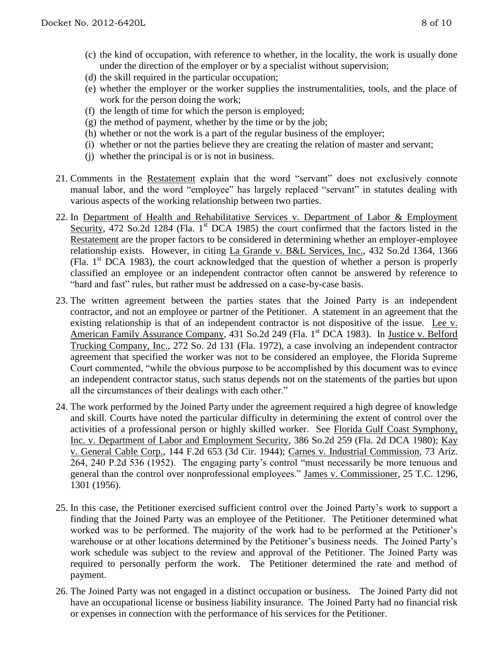- (c) the kind of occupation, with reference to whether, in the locality, the work is usually done under the direction of the employer or by a specialist without supervision;
- (d) the skill required in the particular occupation;
- (e) whether the employer or the worker supplies the instrumentalities, tools, and the place of work for the person doing the work;
- (f) the length of time for which the person is employed;
- $(g)$  the method of payment, whether by the time or by the job;
- (h) whether or not the work is a part of the regular business of the employer;
- (i) whether or not the parties believe they are creating the relation of master and servant;
- (j) whether the principal is or is not in business.
- 21. Comments in the Restatement explain that the word "servant" does not exclusively connote manual labor, and the word "employee" has largely replaced "servant" in statutes dealing with various aspects of the working relationship between two parties.
- 22. In Department of Health and Rehabilitative Services v. Department of Labor & Employment Security, 472 So.2d 1284 (Fla. 1<sup>st</sup> DCA 1985) the court confirmed that the factors listed in the Restatement are the proper factors to be considered in determining whether an employer-employee relationship exists. However, in citing La Grande v. B&L Services, Inc., 432 So.2d 1364, 1366 (Fla. 1st DCA 1983), the court acknowledged that the question of whether a person is properly classified an employee or an independent contractor often cannot be answered by reference to "hard and fast" rules, but rather must be addressed on a case-by-case basis.
- 23. The written agreement between the parties states that the Joined Party is an independent contractor, and not an employee or partner of the Petitioner. A statement in an agreement that the existing relationship is that of an independent contractor is not dispositive of the issue. Lee v. American Family Assurance Company, 431 So.2d 249 (Fla. 1<sup>st</sup> DCA 1983). In Justice v. Belford Trucking Company, Inc., 272 So. 2d 131 (Fla. 1972), a case involving an independent contractor agreement that specified the worker was not to be considered an employee, the Florida Supreme Court commented, "while the obvious purpose to be accomplished by this document was to evince an independent contractor status, such status depends not on the statements of the parties but upon all the circumstances of their dealings with each other."
- 24. The work performed by the Joined Party under the agreement required a high degree of knowledge and skill. Courts have noted the particular difficulty in determining the extent of control over the activities of a professional person or highly skilled worker. See Florida Gulf Coast Symphony, Inc. v. Department of Labor and Employment Security, 386 So.2d 259 (Fla. 2d DCA 1980); Kay v. General Cable Corp., 144 F.2d 653 (3d Cir. 1944); Carnes v. Industrial Commission, 73 Ariz. 264, 240 P.2d 536 (1952). The engaging party's control "must necessarily be more tenuous and general than the control over nonprofessional employees." James v. Commissioner, 25 T.C. 1296, 1301 (1956).
- 25. In this case, the Petitioner exercised sufficient control over the Joined Party's work to support a finding that the Joined Party was an employee of the Petitioner. The Petitioner determined what worked was to be performed. The majority of the work had to be performed at the Petitioner's warehouse or at other locations determined by the Petitioner's business needs. The Joined Party's work schedule was subject to the review and approval of the Petitioner. The Joined Party was required to personally perform the work. The Petitioner determined the rate and method of payment.
- 26. The Joined Party was not engaged in a distinct occupation or business. The Joined Party did not have an occupational license or business liability insurance. The Joined Party had no financial risk or expenses in connection with the performance of his services for the Petitioner.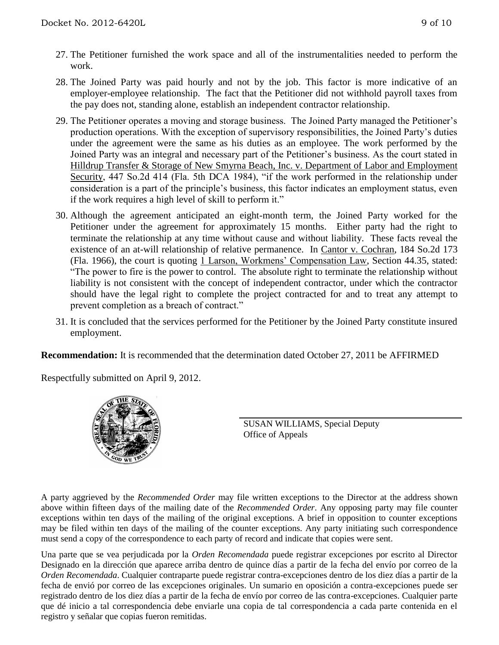- 27. The Petitioner furnished the work space and all of the instrumentalities needed to perform the work.
- 28. The Joined Party was paid hourly and not by the job. This factor is more indicative of an employer-employee relationship. The fact that the Petitioner did not withhold payroll taxes from the pay does not, standing alone, establish an independent contractor relationship.
- 29. The Petitioner operates a moving and storage business. The Joined Party managed the Petitioner's production operations. With the exception of supervisory responsibilities, the Joined Party's duties under the agreement were the same as his duties as an employee. The work performed by the Joined Party was an integral and necessary part of the Petitioner's business. As the court stated in Hilldrup Transfer & Storage of New Smyrna Beach, Inc. v. Department of Labor and Employment Security, 447 So.2d 414 (Fla. 5th DCA 1984), "if the work performed in the relationship under consideration is a part of the principle's business, this factor indicates an employment status, even if the work requires a high level of skill to perform it."
- 30. Although the agreement anticipated an eight-month term, the Joined Party worked for the Petitioner under the agreement for approximately 15 months. Either party had the right to terminate the relationship at any time without cause and without liability. These facts reveal the existence of an at-will relationship of relative permanence. In Cantor v. Cochran, 184 So.2d 173 (Fla. 1966), the court is quoting 1 Larson, Workmens' Compensation Law, Section 44.35, stated: "The power to fire is the power to control. The absolute right to terminate the relationship without liability is not consistent with the concept of independent contractor, under which the contractor should have the legal right to complete the project contracted for and to treat any attempt to prevent completion as a breach of contract."
- 31. It is concluded that the services performed for the Petitioner by the Joined Party constitute insured employment.

**Recommendation:** It is recommended that the determination dated October 27, 2011 be AFFIRMED

Respectfully submitted on April 9, 2012.



SUSAN WILLIAMS, Special Deputy Office of Appeals

A party aggrieved by the *Recommended Order* may file written exceptions to the Director at the address shown above within fifteen days of the mailing date of the *Recommended Order*. Any opposing party may file counter exceptions within ten days of the mailing of the original exceptions. A brief in opposition to counter exceptions may be filed within ten days of the mailing of the counter exceptions. Any party initiating such correspondence must send a copy of the correspondence to each party of record and indicate that copies were sent.

Una parte que se vea perjudicada por la *Orden Recomendada* puede registrar excepciones por escrito al Director Designado en la dirección que aparece arriba dentro de quince días a partir de la fecha del envío por correo de la *Orden Recomendada*. Cualquier contraparte puede registrar contra-excepciones dentro de los diez días a partir de la fecha de envió por correo de las excepciones originales. Un sumario en oposición a contra-excepciones puede ser registrado dentro de los diez días a partir de la fecha de envío por correo de las contra-excepciones. Cualquier parte que dé inicio a tal correspondencia debe enviarle una copia de tal correspondencia a cada parte contenida en el registro y señalar que copias fueron remitidas.